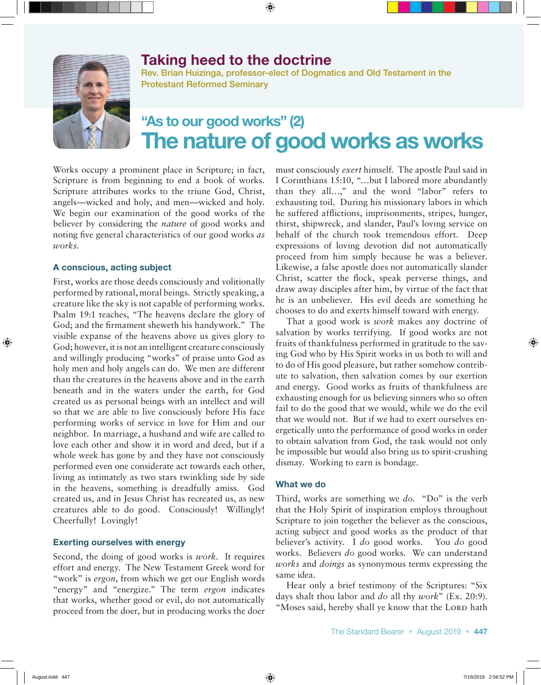# Taking heed to the doctrine



Rev. Brian Huizinga, professor-elect of Dogmatics and Old Testament in the Protestant Reformed Seminary

# "As to our good works" (2) The nature of good works as works

Works occupy a prominent place in Scripture; in fact, Scripture is from beginning to end a book of works. Scripture attributes works to the triune God, Christ, angels—wicked and holy, and men—wicked and holy. We begin our examination of the good works of the believer by considering the *nature* of good works and noting five general characteristics of our good works *as works*.

#### A conscious, acting subject

First, works are those deeds consciously and volitionally performed by rational, moral beings. Strictly speaking, a creature like the sky is not capable of performing works. Psalm 19:1 teaches, "The heavens declare the glory of God; and the firmament sheweth his handywork." The visible expanse of the heavens above us gives glory to God; however, it is not an intelligent creature consciously and willingly producing "works" of praise unto God as holy men and holy angels can do. We men are different than the creatures in the heavens above and in the earth beneath and in the waters under the earth, for God created us as personal beings with an intellect and will so that we are able to live consciously before His face performing works of service in love for Him and our neighbor. In marriage, a husband and wife are called to love each other and show it in word and deed, but if a whole week has gone by and they have not consciously performed even one considerate act towards each other, living as intimately as two stars twinkling side by side in the heavens, something is dreadfully amiss. God created us, and in Jesus Christ has recreated us, as new creatures able to do good. Consciously! Willingly! Cheerfully! Lovingly!

## Exerting ourselves with energy

Second, the doing of good works is *work*. It requires effort and energy. The New Testament Greek word for "work" is *ergon*, from which we get our English words "energy" and "energize." The term *ergon* indicates that works, whether good or evil, do not automatically proceed from the doer, but in producing works the doer must consciously *exert* himself. The apostle Paul said in I Corinthians 15:10, "…but I labored more abundantly than they all…," and the word "labor" refers to exhausting toil. During his missionary labors in which he suffered afflictions, imprisonments, stripes, hunger, thirst, shipwreck, and slander, Paul's loving service on behalf of the church took tremendous effort. Deep expressions of loving devotion did not automatically proceed from him simply because he was a believer. Likewise, a false apostle does not automatically slander Christ, scatter the flock, speak perverse things, and draw away disciples after him, by virtue of the fact that he is an unbeliever. His evil deeds are something he chooses to do and exerts himself toward with energy.

That a good work is *work* makes any doctrine of salvation by works terrifying. If good works are not fruits of thankfulness performed in gratitude to the saving God who by His Spirit works in us both to will and to do of His good pleasure, but rather somehow contribute to salvation, then salvation comes by our exertion and energy. Good works as fruits of thankfulness are exhausting enough for us believing sinners who so often fail to do the good that we would, while we do the evil that we would not. But if we had to exert ourselves energetically unto the performance of good works in order to obtain salvation from God, the task would not only be impossible but would also bring us to spirit-crushing dismay. Working to earn is bondage.

## What we do

Third, works are something we *do*. "Do" is the verb that the Holy Spirit of inspiration employs throughout Scripture to join together the believer as the conscious, acting subject and good works as the product of that believer's activity. I *do* good works. You *do* good works. Believers *do* good works. We can understand *works* and *doings* as synonymous terms expressing the same idea.

Hear only a brief testimony of the Scriptures: "Six days shalt thou labor and *do* all thy *work*" (Ex. 20:9). "Moses said, hereby shall ye know that the LORD hath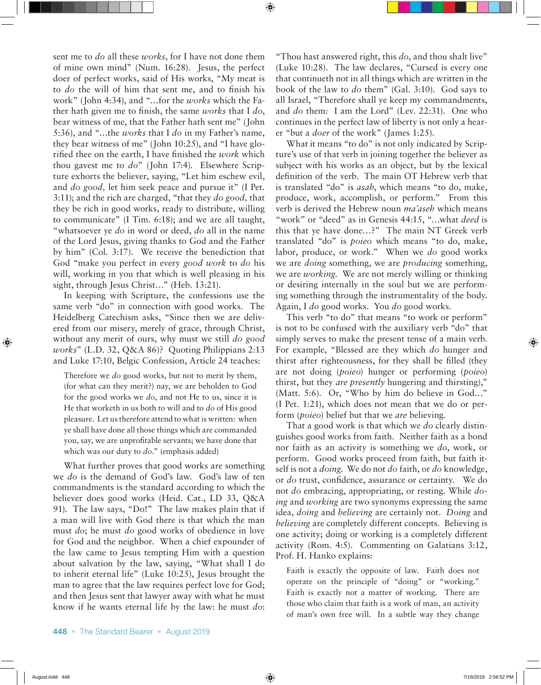sent me to *do* all these *works*, for I have not done them of mine own mind" (Num. 16:28). Jesus, the perfect doer of perfect works, said of His works, "My meat is to *do* the will of him that sent me, and to finish his work" (John 4:34), and "…for the *works* which the Father hath given me to finish, the same *works* that I *do*, bear witness of me, that the Father hath sent me" (John 5:36), and "…the *works* that I *do* in my Father's name, they bear witness of me" (John 10:25), and "I have glorified thee on the earth, I have finished the *work* which thou gavest me to *do*" (John 17:4). Elsewhere Scripture exhorts the believer, saying, "Let him eschew evil, and *do good,* let him seek peace and pursue it" (I Pet. 3:11); and the rich are charged, "that they *do good,* that they be rich in good works, ready to distribute, willing to communicate" (I Tim. 6:18); and we are all taught, "whatsoever ye *do* in word or deed, *do* all in the name of the Lord Jesus, giving thanks to God and the Father by him" (Col. 3:17). We receive the benediction that God "make you perfect in every *good work* to *do* his will, working in you that which is well pleasing in his sight, through Jesus Christ..." (Heb. 13:21).

In keeping with Scripture, the confessions use the same verb "do" in connection with good works. The Heidelberg Catechism asks, "Since then we are delivered from our misery, merely of grace, through Christ, without any merit of ours, why must we still *do good works*" (L.D. 32, Q&A 86)? Quoting Philippians 2:13 and Luke 17:10, Belgic Confession, Article 24 teaches:

Therefore we *do* good works, but not to merit by them, (for what can they merit?) nay, we are beholden to God for the good works we *do*, and not He to us, since it is He that worketh in us both to will and to *do* of His good pleasure. Let us therefore attend to what is written: when ye shall have done all those things which are commanded you, say, we are unprofitable servants; we have done that which was our duty to *do.*" (emphasis added)

What further proves that good works are something we *do* is the demand of God's law. God's law of ten commandments is the standard according to which the believer does good works (Heid. Cat., LD 33, Q&A 91). The law says, "Do!" The law makes plain that if a man will live with God there is that which the man must *do*; he must *do* good works of obedience in love for God and the neighbor. When a chief expounder of the law came to Jesus tempting Him with a question about salvation by the law, saying, "What shall I do to inherit eternal life" (Luke 10:25), Jesus brought the man to agree that the law requires perfect love for God; and then Jesus sent that lawyer away with what he must know if he wants eternal life by the law: he must *do*:

"Thou hast answered right, this *do*, and thou shalt live" (Luke 10:28). The law declares, "Cursed is every one that continueth not in all things which are written in the book of the law to *do* them" (Gal. 3:10). God says to all Israel, "Therefore shall ye keep my commandments, and *do* them: I am the Lord" (Lev. 22:31). One who continues in the perfect law of liberty is not only a hearer "but a *doer* of the work" (James 1:25).

What it means "to do" is not only indicated by Scripture's use of that verb in joining together the believer as subject with his works as an object, but by the lexical definition of the verb. The main OT Hebrew verb that is translated "do" is *asah*, which means "to do, make, produce, work, accomplish, or perform." From this verb is derived the Hebrew noun *ma'aseh* which means "work" or "deed" as in Genesis 44:15, "…what *deed* is this that ye have done…?" The main NT Greek verb translated "do" is *poieo* which means "to do, make, labor, produce, or work." When we *do* good works we are *doing* something, we are *producing* something, we are *working*. We are not merely willing or thinking or desiring internally in the soul but we are performing something through the instrumentality of the body. Again, I *do* good works. You *do* good works.

This verb "to do" that means "to work or perform" is not to be confused with the auxiliary verb "do" that simply serves to make the present tense of a main verb. For example, "Blessed are they which *do* hunger and thirst after righteousness, for they shall be filled (they are not doing (*poieo*) hunger or performing (*poieo*) thirst, but they *are presently* hungering and thirsting)," (Matt. 5:6). Or, "Who by him do believe in God…" (I Pet. 1:21), which does not mean that we do or perform (*poieo*) belief but that we *are* believing.

That a good work is that which we *do* clearly distinguishes good works from faith. Neither faith as a bond nor faith as an activity is something we *do*, work, or perform. Good works proceed from faith, but faith itself is not a *doing*. We do not *do* faith, or *do* knowledge, or *do* trust, confidence, assurance or certainty. We do not *do* embracing, appropriating, or resting. While *doing* and *working* are two synonyms expressing the same idea, *doing* and *believing* are certainly not. *Doing* and *believing* are completely different concepts. Believing is one activity; doing or working is a completely different activity (Rom. 4:5). Commenting on Galatians 3:12, Prof. H. Hanko explains:

Faith is exactly the opposite of law. Faith does not operate on the principle of "doing" or "working." Faith is exactly not a matter of working. There are those who claim that faith is a work of man, an activity of man's own free will. In a subtle way they change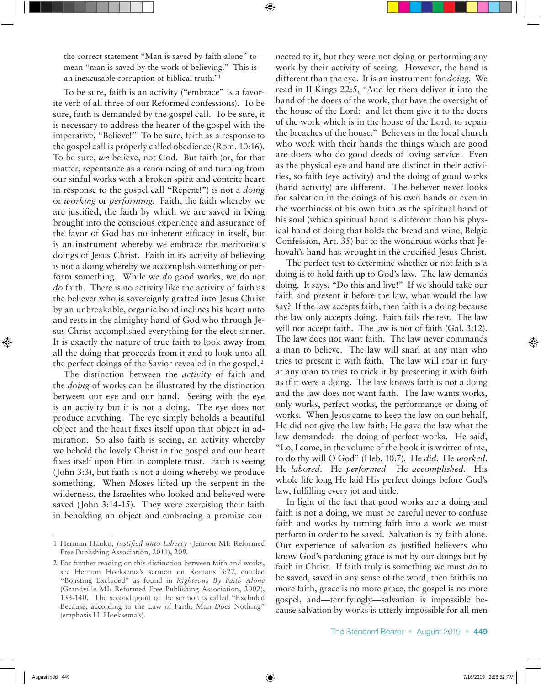the correct statement "Man is saved by faith alone" to mean "man is saved by the work of believing." This is an inexcusable corruption of biblical truth."1

To be sure, faith is an activity ("embrace" is a favorite verb of all three of our Reformed confessions). To be sure, faith is demanded by the gospel call. To be sure, it is necessary to address the hearer of the gospel with the imperative, "Believe!" To be sure, faith as a response to the gospel call is properly called obedience (Rom. 10:16). To be sure, *we* believe, not God. But faith (or, for that matter, repentance as a renouncing of and turning from our sinful works with a broken spirit and contrite heart in response to the gospel call "Repent!") is not a *doing*  or *working* or *performing.* Faith, the faith whereby we are justified, the faith by which we are saved in being brought into the conscious experience and assurance of the favor of God has no inherent efficacy in itself, but is an instrument whereby we embrace the meritorious doings of Jesus Christ. Faith in its activity of believing is not a doing whereby we accomplish something or perform something. While we *do* good works, we do not *do* faith. There is no activity like the activity of faith as the believer who is sovereignly grafted into Jesus Christ by an unbreakable, organic bond inclines his heart unto and rests in the almighty hand of God who through Jesus Christ accomplished everything for the elect sinner. It is exactly the nature of true faith to look away from all the doing that proceeds from it and to look unto all the perfect doings of the Savior revealed in the gospel. 2

The distinction between the *activity* of faith and the *doing* of works can be illustrated by the distinction between our eye and our hand. Seeing with the eye is an activity but it is not a doing. The eye does not produce anything. The eye simply beholds a beautiful object and the heart fixes itself upon that object in admiration. So also faith is seeing, an activity whereby we behold the lovely Christ in the gospel and our heart fixes itself upon Him in complete trust. Faith is seeing (John 3:3), but faith is not a doing whereby we produce something. When Moses lifted up the serpent in the wilderness, the Israelites who looked and believed were saved (John 3:14-15). They were exercising their faith in beholding an object and embracing a promise connected to it, but they were not doing or performing any work by their activity of seeing. However, the hand is different than the eye. It is an instrument for *doing*. We read in II Kings 22:5, "And let them deliver it into the hand of the doers of the work, that have the oversight of the house of the Lord: and let them give it to the doers of the work which is in the house of the Lord, to repair the breaches of the house." Believers in the local church who work with their hands the things which are good are doers who do good deeds of loving service. Even as the physical eye and hand are distinct in their activities, so faith (eye activity) and the doing of good works (hand activity) are different. The believer never looks for salvation in the doings of his own hands or even in the worthiness of his own faith as the spiritual hand of his soul (which spiritual hand is different than his physical hand of doing that holds the bread and wine, Belgic Confession, Art. 35) but to the wondrous works that Jehovah's hand has wrought in the crucified Jesus Christ.

The perfect test to determine whether or not faith is a doing is to hold faith up to God's law. The law demands doing. It says, "Do this and live!" If we should take our faith and present it before the law, what would the law say? If the law accepts faith, then faith is a doing because the law only accepts doing. Faith fails the test. The law will not accept faith. The law is not of faith (Gal. 3:12). The law does not want faith. The law never commands a man to believe. The law will snarl at any man who tries to present it with faith. The law will roar in fury at any man to tries to trick it by presenting it with faith as if it were a doing. The law knows faith is not a doing and the law does not want faith. The law wants works, only works, perfect works, the performance or doing of works. When Jesus came to keep the law on our behalf, He did not give the law faith; He gave the law what the law demanded: the doing of perfect works. He said, "Lo, I come, in the volume of the book it is written of me, to do thy will O God" (Heb. 10:7). He *did*. He *worked*. He *labored*. He *performed*. He *accomplished*. His whole life long He laid His perfect doings before God's law, fulfilling every jot and tittle.

In light of the fact that good works are a doing and faith is not a doing, we must be careful never to confuse faith and works by turning faith into a work we must perform in order to be saved. Salvation is by faith alone. Our experience of salvation as justified believers who know God's pardoning grace is not by our doings but by faith in Christ. If faith truly is something we must *do* to be saved, saved in any sense of the word, then faith is no more faith, grace is no more grace, the gospel is no more gospel, and—terrifyingly—salvation is impossible because salvation by works is utterly impossible for all men

<sup>1</sup> Herman Hanko, *Justified unto Liberty* (Jenison MI: Reformed Free Publishing Association, 2011), 209.

<sup>2</sup> For further reading on this distinction between faith and works, see Herman Hoeksema's sermon on Romans 3:27, entitled "Boasting Excluded" as found in *Righteous By Faith Alone*  (Grandville MI: Reformed Free Publishing Association, 2002), 133-140. The second point of the sermon is called "Excluded Because, according to the Law of Faith, Man *Does* Nothing" (emphasis H. Hoeksema's).